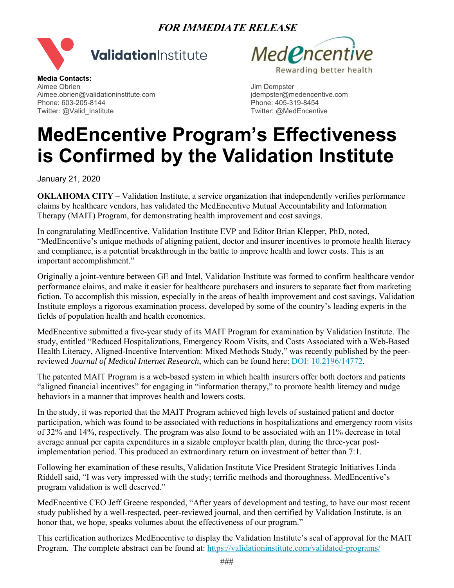## **FOR IMMEDIATE RELEASE**





**Media Contacts:**  Aimee Obrien Jim Dempster Aimee.obrien@validationinstitute.com Phone: 603-205-8144 **Phone: 603-205-8144** Phone: 405-319-8454 Twitter: @Valid\_Institute Twitter: @MedEncentive

## **MedEncentive Program's Effectiveness is Confirmed by the Validation Institute**

January 21, 2020

**OKLAHOMA CITY** – Validation Institute, a service organization that independently verifies performance claims by healthcare vendors, has validated the MedEncentive Mutual Accountability and Information Therapy (MAIT) Program, for demonstrating health improvement and cost savings.

In congratulating MedEncentive, Validation Institute EVP and Editor Brian Klepper, PhD, noted, "MedEncentive's unique methods of aligning patient, doctor and insurer incentives to promote health literacy and compliance, is a potential breakthrough in the battle to improve health and lower costs. This is an important accomplishment."

Originally a joint-venture between GE and Intel, Validation Institute was formed to confirm healthcare vendor performance claims, and make it easier for healthcare purchasers and insurers to separate fact from marketing fiction. To accomplish this mission, especially in the areas of health improvement and cost savings, Validation Institute employs a rigorous examination process, developed by some of the country's leading experts in the fields of population health and health economics.

MedEncentive submitted a five-year study of its MAIT Program for examination by Validation Institute. The study, entitled "Reduced Hospitalizations, Emergency Room Visits, and Costs Associated with a Web-Based Health Literacy, Aligned-Incentive Intervention: Mixed Methods Study," was recently published by the peerreviewed *Journal of Medical Internet Research*, which can be found here: DOI: 10.2196/14772.

The patented MAIT Program is a web-based system in which health insurers offer both doctors and patients "aligned financial incentives" for engaging in "information therapy," to promote health literacy and nudge behaviors in a manner that improves health and lowers costs.

In the study, it was reported that the MAIT Program achieved high levels of sustained patient and doctor participation, which was found to be associated with reductions in hospitalizations and emergency room visits of 32% and 14%, respectively. The program was also found to be associated with an 11% decrease in total average annual per capita expenditures in a sizable employer health plan, during the three-year postimplementation period. This produced an extraordinary return on investment of better than 7:1.

Following her examination of these results, Validation Institute Vice President Strategic Initiatives Linda Riddell said, "I was very impressed with the study; terrific methods and thoroughness. MedEncentive's program validation is well deserved."

MedEncentive CEO Jeff Greene responded, "After years of development and testing, to have our most recent study published by a well-respected, peer-reviewed journal, and then certified by Validation Institute, is an honor that, we hope, speaks volumes about the effectiveness of our program."

This certification authorizes MedEncentive to display the Validation Institute's seal of approval for the MAIT Program. The complete abstract can be found at: https://validationinstitute.com/validated-programs/